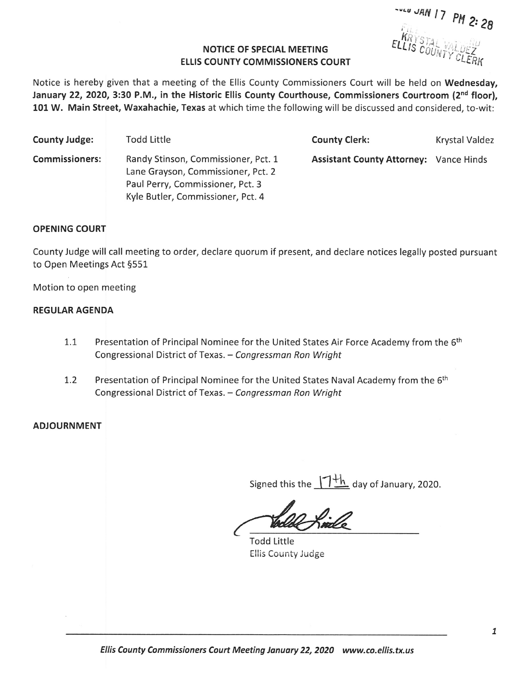$3.28$ 

## NOTICE OF SPECIAL MEETING **ELLIS COUNTY COMMISSIONERS COURT**

Notice is hereby given that <sup>a</sup> meeting of the Ellis County Commissioners Court will be held on Wednesday, January 22, 2020, 3:30 P.M., in the Historic Ellis County Courthouse, Commissioners Courtroom (2<sup>nd</sup> floor), 101 W. Main Street, Waxahachie, Texas at which time the following will be discussed and considered, to-wit:

| <b>County Judge:</b>  | <b>Todd Little</b>                                                                                                                                 | <b>County Clerk:</b>                          | Krystal Valdez |
|-----------------------|----------------------------------------------------------------------------------------------------------------------------------------------------|-----------------------------------------------|----------------|
| <b>Commissioners:</b> | Randy Stinson, Commissioner, Pct. 1<br>Lane Grayson, Commissioner, Pct. 2<br>Paul Perry, Commissioner, Pct. 3<br>Kyle Butler, Commissioner, Pct. 4 | <b>Assistant County Attorney: Vance Hinds</b> |                |

## OPENING COURT

County Judge will call meeting to order, declare quorum if present, and declare notices legally posted pursuant to Open Meetings Act §551

Motion to open meeting

## REGULAR AGENDA

- 1.1 Presentation of Principal Nominee for the United States Air Force Academy from the 6<sup>th</sup> Congressional District of Texas. — Congressman Ron Wright
- 1.2 Presentation of Principal Nominee for the United States Naval Academy from the 6<sup>th</sup> Congressional District of Texas. — Congressman Ron Wright

## **ADJOURNMENT**

Signed this the  $1+\frac{1}{n}$  day of January, 2020.

Todd Little Ellis County Judge